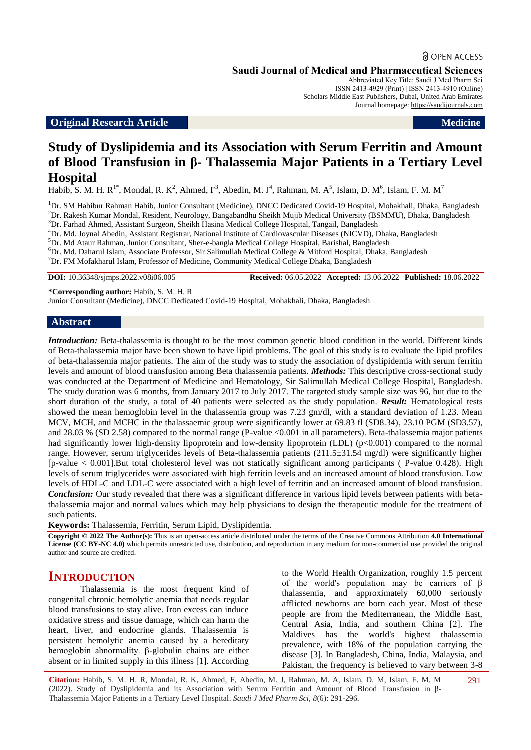### **Original Research Article Medicine Medicine Medicine Medicine**

# **Study of Dyslipidemia and its Association with Serum Ferritin and Amount of Blood Transfusion in β- Thalassemia Major Patients in a Tertiary Level Hospital**

Habib, S. M. H. R<sup>1\*</sup>, Mondal, R. K<sup>2</sup>, Ahmed, F<sup>3</sup>, Abedin, M. J<sup>4</sup>, Rahman, M. A<sup>5</sup>, Islam, D. M<sup>6</sup>, Islam, F. M. M<sup>7</sup>

<sup>1</sup>Dr. SM Habibur Rahman Habib, Junior Consultant (Medicine), DNCC Dedicated Covid-19 Hospital, Mohakhali, Dhaka, Bangladesh <sup>2</sup>Dr. Rakesh Kumar Mondal, Resident, Neurology, Bangabandhu Sheikh Mujib Medical University (BSMMU), Dhaka, Bangladesh

<sup>3</sup>Dr. Farhad Ahmed, Assistant Surgeon, Sheikh Hasina Medical College Hospital, Tangail, Bangladesh

<sup>4</sup>Dr. Md. Joynal Abedin, Assistant Registrar, National Institute of Cardiovascular Diseases (NICVD), Dhaka, Bangladesh

<sup>5</sup>Dr. Md Ataur Rahman, Junior Consultant, Sher-e-bangla Medical College Hospital, Barishal, Bangladesh

 $6$ Dr. Md. Daharul Islam, Associate Professor, Sir Salimullah Medical College & Mitford Hospital, Dhaka, Bangladesh

<sup>7</sup>Dr. FM Mofakharul Islam, Professor of Medicine, Community Medical College Dhaka, Bangladesh

**DOI:** 10.36348/sjmps.2022.v08i06.005 | **Received:** 06.05.2022 | **Accepted:** 13.06.2022 | **Published:** 18.06.2022

**\*Corresponding author:** Habib, S. M. H. R

Junior Consultant (Medicine), DNCC Dedicated Covid-19 Hospital, Mohakhali, Dhaka, Bangladesh

#### **Abstract**

*Introduction:* Beta-thalassemia is thought to be the most common genetic blood condition in the world. Different kinds of Beta-thalassemia major have been shown to have lipid problems. The goal of this study is to evaluate the lipid profiles of beta-thalassemia major patients. The aim of the study was to study the association of dyslipidemia with serum ferritin levels and amount of blood transfusion among Beta thalassemia patients. *Methods:* This descriptive cross-sectional study was conducted at the Department of Medicine and Hematology, Sir Salimullah Medical College Hospital, Bangladesh. The study duration was 6 months, from January 2017 to July 2017. The targeted study sample size was 96, but due to the short duration of the study, a total of 40 patients were selected as the study population. *Result:* Hematological tests showed the mean hemoglobin level in the thalassemia group was 7.23 gm/dl, with a standard deviation of 1.23. Mean MCV, MCH, and MCHC in the thalassaemic group were significantly lower at 69.83 fl (SD8.34), 23.10 PGM (SD3.57), and 28.03 % (SD 2.58) compared to the normal range (P-value <0.001 in all parameters). Beta-thalassemia major patients had significantly lower high-density lipoprotein and low-density lipoprotein (LDL) (p<0.001) compared to the normal range. However, serum triglycerides levels of Beta-thalassemia patients (211.5±31.54 mg/dl) were significantly higher [p-value < 0.001].But total cholesterol level was not statically significant among participants ( P-value 0.428). High levels of serum triglycerides were associated with high ferritin levels and an increased amount of blood transfusion. Low levels of HDL-C and LDL-C were associated with a high level of ferritin and an increased amount of blood transfusion. *Conclusion:* Our study revealed that there was a significant difference in various lipid levels between patients with betathalassemia major and normal values which may help physicians to design the therapeutic module for the treatment of such patients.

**Keywords:** Thalassemia, Ferritin, Serum Lipid, Dyslipidemia.

**Copyright © 2022 The Author(s):** This is an open-access article distributed under the terms of the Creative Commons Attribution **4.0 International License (CC BY-NC 4.0)** which permits unrestricted use, distribution, and reproduction in any medium for non-commercial use provided the original author and source are credited.

# **INTRODUCTION**

Thalassemia is the most frequent kind of congenital chronic hemolytic anemia that needs regular blood transfusions to stay alive. Iron excess can induce oxidative stress and tissue damage, which can harm the heart, liver, and endocrine glands. Thalassemia is persistent hemolytic anemia caused by a hereditary hemoglobin abnormality. β-globulin chains are either absent or in limited supply in this illness [1]. According to the World Health Organization, roughly 1.5 percent of the world's population may be carriers of β thalassemia, and approximately 60,000 seriously afflicted newborns are born each year. Most of these people are from the Mediterranean, the Middle East, Central Asia, India, and southern China [2]. The Maldives has the world's highest thalassemia prevalence, with 18% of the population carrying the disease [3]. In Bangladesh, China, India, Malaysia, and Pakistan, the frequency is believed to vary between 3-8

291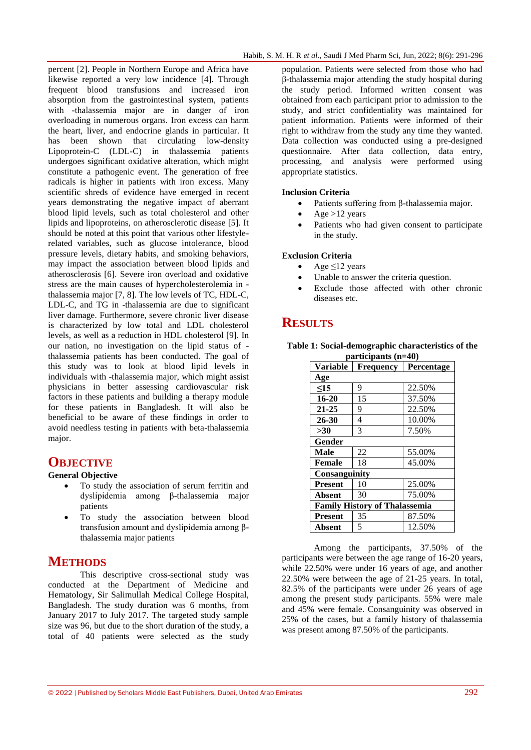percent [2]. People in Northern Europe and Africa have likewise reported a very low incidence [4]. Through frequent blood transfusions and increased iron absorption from the gastrointestinal system, patients with -thalassemia major are in danger of iron overloading in numerous organs. Iron excess can harm the heart, liver, and endocrine glands in particular. It has been shown that circulating low-density Lipoprotein-C (LDL-C) in thalassemia patients undergoes significant oxidative alteration, which might constitute a pathogenic event. The generation of free radicals is higher in patients with iron excess. Many scientific shreds of evidence have emerged in recent years demonstrating the negative impact of aberrant blood lipid levels, such as total cholesterol and other lipids and lipoproteins, on atherosclerotic disease [5]. It should be noted at this point that various other lifestylerelated variables, such as glucose intolerance, blood pressure levels, dietary habits, and smoking behaviors, may impact the association between blood lipids and atherosclerosis [6]. Severe iron overload and oxidative stress are the main causes of hypercholesterolemia in thalassemia major [7, 8]. The low levels of TC, HDL-C, LDL-C, and TG in -thalassemia are due to significant liver damage. Furthermore, severe chronic liver disease is characterized by low total and LDL cholesterol levels, as well as a reduction in HDL cholesterol [9]. In our nation, no investigation on the lipid status of thalassemia patients has been conducted. The goal of this study was to look at blood lipid levels in individuals with -thalassemia major, which might assist physicians in better assessing cardiovascular risk factors in these patients and building a therapy module for these patients in Bangladesh. It will also be beneficial to be aware of these findings in order to avoid needless testing in patients with beta-thalassemia major.

### **OBJECTIVE**

### **General Objective**

- To study the association of serum ferritin and dyslipidemia among β-thalassemia major patients
- To study the association between blood transfusion amount and dyslipidemia among βthalassemia major patients

# **METHODS**

This descriptive cross-sectional study was conducted at the Department of Medicine and Hematology, Sir Salimullah Medical College Hospital, Bangladesh. The study duration was 6 months, from January 2017 to July 2017. The targeted study sample size was 96, but due to the short duration of the study, a total of 40 patients were selected as the study

population. Patients were selected from those who had β-thalassemia major attending the study hospital during the study period. Informed written consent was obtained from each participant prior to admission to the study, and strict confidentiality was maintained for patient information. Patients were informed of their right to withdraw from the study any time they wanted. Data collection was conducted using a pre-designed questionnaire. After data collection, data entry, processing, and analysis were performed using appropriate statistics.

#### **Inclusion Criteria**

- Patients suffering from β-thalassemia major.
- Age >12 years
- Patients who had given consent to participate in the study.

#### **Exclusion Criteria**

- $\triangleleft$  Age  $\leq$ 12 years
- Unable to answer the criteria question.
- Exclude those affected with other chronic diseases etc.

# **RESULTS**

| Table 1: Social-demographic characteristics of the |                       |  |  |
|----------------------------------------------------|-----------------------|--|--|
|                                                    | participants $(n=40)$ |  |  |

| <b>Variable</b>                      | <b>Frequency</b> | Percentage |  |  |  |  |  |
|--------------------------------------|------------------|------------|--|--|--|--|--|
| Age                                  |                  |            |  |  |  |  |  |
| $\leq$ 15                            | 9                | 22.50%     |  |  |  |  |  |
| 16-20                                | 15               | 37.50%     |  |  |  |  |  |
| $21 - 25$                            | 9                | 22.50%     |  |  |  |  |  |
| 26-30                                | 4                | 10.00%     |  |  |  |  |  |
| >30                                  | 3                | 7.50%      |  |  |  |  |  |
| Gender                               |                  |            |  |  |  |  |  |
| Male                                 | 22               | 55.00%     |  |  |  |  |  |
| <b>Female</b>                        | 18               | 45.00%     |  |  |  |  |  |
| Consanguinity                        |                  |            |  |  |  |  |  |
| <b>Present</b>                       | 10               | 25.00%     |  |  |  |  |  |
| <b>Absent</b>                        | 30               | 75.00%     |  |  |  |  |  |
| <b>Family History of Thalassemia</b> |                  |            |  |  |  |  |  |
| <b>Present</b>                       | 35               | 87.50%     |  |  |  |  |  |
| Absent                               | 5                | 12.50%     |  |  |  |  |  |

Among the participants, 37.50% of the participants were between the age range of 16-20 years, while 22.50% were under 16 years of age, and another 22.50% were between the age of 21-25 years. In total, 82.5% of the participants were under 26 years of age among the present study participants. 55% were male and 45% were female. Consanguinity was observed in 25% of the cases, but a family history of thalassemia was present among 87.50% of the participants.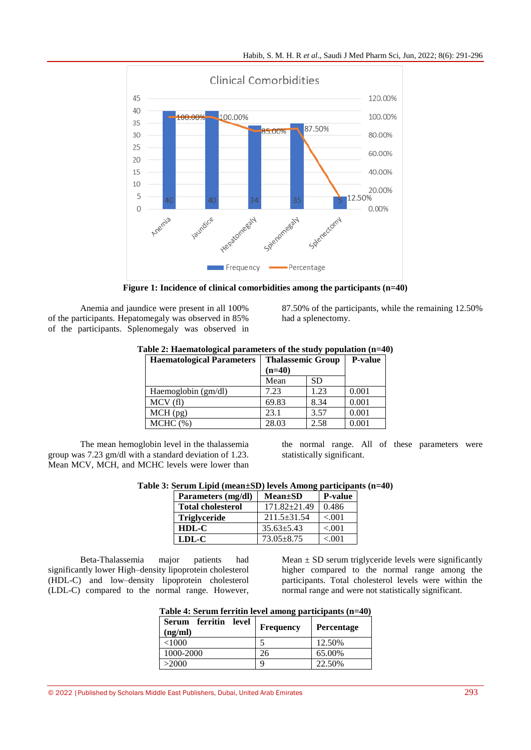

**Figure 1: Incidence of clinical comorbidities among the participants (n=40)**

Anemia and jaundice were present in all 100% of the participants. Hepatomegaly was observed in 85% of the participants. Splenomegaly was observed in

87.50% of the participants, while the remaining 12.50% had a splenectomy.

| <b>Haematological Parameters</b> | <b>Thalassemic Group</b><br>$(n=40)$ |      | <b>P-value</b> |
|----------------------------------|--------------------------------------|------|----------------|
|                                  | Mean                                 | SD   |                |
| Haemoglobin (gm/dl)              | 7.23                                 | 1.23 | 0.001          |
| MCV(f)                           | 69.83                                | 8.34 | 0.001          |
| $MCH$ (pg)                       | 23.1                                 | 3.57 | 0.001          |
| $MCHC$ $(\%)$                    | 28.03                                | 2.58 | 0.001          |

# **Table 2: Haematological parameters of the study population (n=40)**

The mean hemoglobin level in the thalassemia group was 7.23 gm/dl with a standard deviation of 1.23. Mean MCV, MCH, and MCHC levels were lower than

the normal range. All of these parameters were statistically significant.

|  |  |  | Table 3: Serum Lipid (mean±SD) levels Among participants (n=40) |  |  |
|--|--|--|-----------------------------------------------------------------|--|--|
|--|--|--|-----------------------------------------------------------------|--|--|

| Parameters (mg/dl)       | $Mean \pm SD$    | <b>P-value</b> |
|--------------------------|------------------|----------------|
| <b>Total cholesterol</b> | $171.82 + 21.49$ | 0.486          |
| <b>Triglyceride</b>      | $211.5+31.54$    | < 0.01         |
| HDL-C                    | $35.63 + 5.43$   | < 0.01         |
| LDL-C                    | $73.05 \pm 8.75$ | < 001          |

Beta-Thalassemia major patients had significantly lower High–density lipoprotein cholesterol (HDL-C) and low–density lipoprotein cholesterol (LDL-C) compared to the normal range. However, Mean  $\pm$  SD serum triglyceride levels were significantly higher compared to the normal range among the participants. Total cholesterol levels were within the normal range and were not statistically significant.

| Table 4: Serum ferritin level among participants (n=40) |  |
|---------------------------------------------------------|--|
|                                                         |  |

| Serum ferritin level<br>(ng/ml) | <b>Frequency</b> | <b>Percentage</b> |
|---------------------------------|------------------|-------------------|
| <1000                           |                  | 12.50%            |
| 1000-2000                       | 26               | 65.00%            |
| >2000                           | q                | 22.50%            |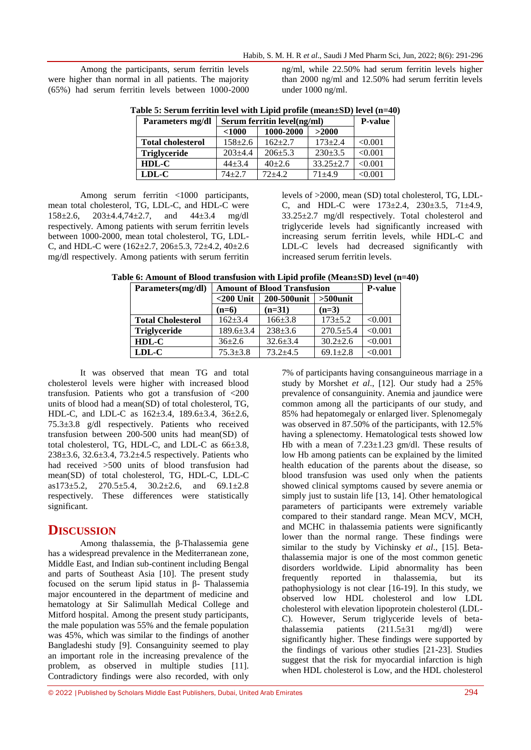Among the participants, serum ferritin levels were higher than normal in all patients. The majority (65%) had serum ferritin levels between 1000-2000 ng/ml, while 22.50% had serum ferritin levels higher than 2000 ng/ml and 12.50% had serum ferritin levels under 1000 ng/ml.

|  |  |  |  | Table 5: Serum ferritin level with Lipid profile (mean $\pm$ SD) level (n=40) |  |
|--|--|--|--|-------------------------------------------------------------------------------|--|
|  |  |  |  |                                                                               |  |

| Parameters mg/dl         | Serum ferritin level(ng/ml) | <b>P-value</b> |               |         |
|--------------------------|-----------------------------|----------------|---------------|---------|
|                          | < 1000                      | 1000-2000      | >2000         |         |
| <b>Total cholesterol</b> | $158 \pm 2.6$               | $162+2.7$      | $173 + 2.4$   | < 0.001 |
| <b>Triglyceride</b>      | $203+4.4$                   | $206 + 5.3$    | $230+3.5$     | < 0.001 |
| HDL-C                    | $44 + 3.4$                  | $40+2.6$       | $33.25 + 2.7$ | < 0.001 |
| LDL-C                    | $74 + 2.7$                  | $72+4.2$       | $71 + 4.9$    | < 0.001 |

Among serum ferritin <1000 participants, mean total cholesterol, TG, LDL-C, and HDL-C were 158±2.6, 203±4.4,74±2.7, and 44±3.4 mg/dl respectively. Among patients with serum ferritin levels between 1000-2000, mean total cholesterol, TG, LDL-C, and HDL-C were (162±2.7, 206±5.3, 72±4.2, 40±2.6 mg/dl respectively. Among patients with serum ferritin levels of >2000, mean (SD) total cholesterol, TG, LDL-C, and HDL-C were 173±2.4, 230±3.5, 71±4.9, 33.25±2.7 mg/dl respectively. Total cholesterol and triglyceride levels had significantly increased with increasing serum ferritin levels, while HDL-C and LDL-C levels had decreased significantly with increased serum ferritin levels.

**Table 6: Amount of Blood transfusion with Lipid profile (Mean±SD) level (n=40)**

| Parameters(mg/dl)        | <b>Amount of Blood Transfusion</b> | <b>P-value</b> |                |         |
|--------------------------|------------------------------------|----------------|----------------|---------|
|                          | $<$ 200 Unit                       | 200-500unit    | $>500$ unit    |         |
|                          | $(n=6)$                            | $(n=31)$       | $(n=3)$        |         |
| <b>Total Cholesterol</b> | $162 + 3.4$                        | $166 \pm 3.8$  | $173 + 5.2$    | < 0.001 |
| <b>Triglyceride</b>      | $189.6 \pm 3.4$                    | $238 \pm 3.6$  | $270.5 + 5.4$  | < 0.001 |
| $HDL-C$                  | $36+2.6$                           | $32.6 \pm 3.4$ | $30.2 + 2.6$   | < 0.001 |
| $LDL-C$                  | $75.3 + 3.8$                       | $73.2 + 4.5$   | $69.1 \pm 2.8$ | < 0.001 |

It was observed that mean TG and total cholesterol levels were higher with increased blood transfusion. Patients who got a transfusion of <200 units of blood had a mean(SD) of total cholesterol, TG, HDL-C, and LDL-C as 162±3.4, 189.6±3.4, 36±2.6, 75.3±3.8 g/dl respectively. Patients who received transfusion between 200-500 units had mean(SD) of total cholesterol, TG, HDL-C, and LDL-C as 66±3.8, 238±3.6, 32.6±3.4, 73.2±4.5 respectively. Patients who had received >500 units of blood transfusion had mean(SD) of total cholesterol, TG, HDL-C, LDL-C as173±5.2, 270.5±5.4, 30.2±2.6, and 69.1±2.8 respectively. These differences were statistically significant.

# **DISCUSSION**

Among thalassemia, the β-Thalassemia gene has a widespread prevalence in the Mediterranean zone, Middle East, and Indian sub-continent including Bengal and parts of Southeast Asia [10]. The present study focused on the serum lipid status in β- Thalassemia major encountered in the department of medicine and hematology at Sir Salimullah Medical College and Mitford hospital. Among the present study participants, the male population was 55% and the female population was 45%, which was similar to the findings of another Bangladeshi study [9]. Consanguinity seemed to play an important role in the increasing prevalence of the problem, as observed in multiple studies [11]. Contradictory findings were also recorded, with only

7% of participants having consanguineous marriage in a study by Morshet *et al*., [12]. Our study had a 25% prevalence of consanguinity. Anemia and jaundice were common among all the participants of our study, and 85% had hepatomegaly or enlarged liver. Splenomegaly was observed in 87.50% of the participants, with 12.5% having a splenectomy. Hematological tests showed low Hb with a mean of  $7.23 \pm 1.23$  gm/dl. These results of low Hb among patients can be explained by the limited health education of the parents about the disease, so blood transfusion was used only when the patients showed clinical symptoms caused by severe anemia or simply just to sustain life [13, 14]. Other hematological parameters of participants were extremely variable compared to their standard range. Mean MCV, MCH, and MCHC in thalassemia patients were significantly lower than the normal range. These findings were similar to the study by Vichinsky *et al*., [15]. Betathalassemia major is one of the most common genetic disorders worldwide. Lipid abnormality has been frequently reported in thalassemia, but its pathophysiology is not clear [16-19]. In this study, we observed low HDL cholesterol and low LDL cholesterol with elevation lipoprotein cholesterol (LDL-C). However, Serum triglyceride levels of betathalassemia patients  $(211.5\pm31 \text{ mg/dl})$  were significantly higher. These findings were supported by the findings of various other studies [21-23]. Studies suggest that the risk for myocardial infarction is high when HDL cholesterol is Low, and the HDL cholesterol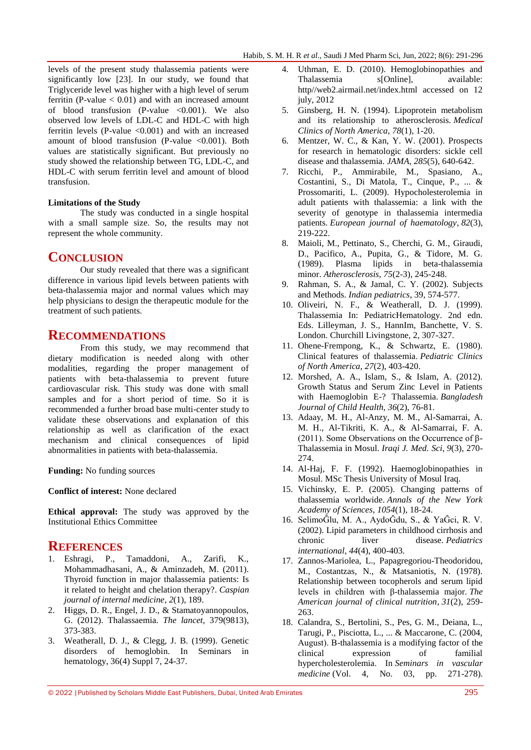levels of the present study thalassemia patients were significantly low [23]. In our study, we found that Triglyceride level was higher with a high level of serum ferritin (P-value  $< 0.01$ ) and with an increased amount of blood transfusion (P-value  $\langle 0.001 \rangle$ . We also observed low levels of LDL-C and HDL-C with high ferritin levels (P-value <0.001) and with an increased amount of blood transfusion (P-value  $\langle 0.001 \rangle$ ). Both values are statistically significant. But previously no study showed the relationship between TG, LDL-C, and HDL-C with serum ferritin level and amount of blood transfusion.

#### **Limitations of the Study**

The study was conducted in a single hospital with a small sample size. So, the results may not represent the whole community.

### **CONCLUSION**

Our study revealed that there was a significant difference in various lipid levels between patients with beta-thalassemia major and normal values which may help physicians to design the therapeutic module for the treatment of such patients.

### **RECOMMENDATIONS**

From this study, we may recommend that dietary modification is needed along with other modalities, regarding the proper management of patients with beta-thalassemia to prevent future cardiovascular risk. This study was done with small samples and for a short period of time. So it is recommended a further broad base multi-center study to validate these observations and explanation of this relationship as well as clarification of the exact mechanism and clinical consequences of lipid abnormalities in patients with beta-thalassemia.

**Funding:** No funding sources

**Conflict of interest:** None declared

**Ethical approval:** The study was approved by the Institutional Ethics Committee

#### **REFERENCES**

- 1. Eshragi, P., Tamaddoni, A., Zarifi, K., Mohammadhasani, A., & Aminzadeh, M. (2011). Thyroid function in major thalassemia patients: Is it related to height and chelation therapy?. *Caspian journal of internal medicine*, *2*(1), 189.
- 2. Higgs, D. R., Engel, J. D., & Stamatoyannopoulos, G. (2012). Thalassaemia. *The lancet*, 379(9813), 373-383.
- 3. Weatherall, D. J., & Clegg, J. B. (1999). Genetic disorders of hemoglobin. In Seminars in hematology, 36(4) Suppl 7, 24-37.
- 4. Uthman, E. D. (2010). Hemoglobinopathies and Thalassemia s[Online], available: http//web2.airmail.net/index.html accessed on 12 july, 2012
- 5. Ginsberg, H. N. (1994). Lipoprotein metabolism and its relationship to atherosclerosis. *Medical Clinics of North America*, *78*(1), 1-20.
- 6. Mentzer, W. C., & Kan, Y. W. (2001). Prospects for research in hematologic disorders: sickle cell disease and thalassemia. *JAMA*, *285*(5), 640-642.
- 7. Ricchi, P., Ammirabile, M., Spasiano, A., Costantini, S., Di Matola, T., Cinque, P., ... & Prossomariti, L. (2009). Hypocholesterolemia in adult patients with thalassemia: a link with the severity of genotype in thalassemia intermedia patients. *European journal of haematology*, *82*(3), 219-222.
- 8. Maioli, M., Pettinato, S., Cherchi, G. M., Giraudi, D., Pacifico, A., Pupita, G., & Tidore, M. G. (1989). Plasma lipids in beta-thalassemia minor. *Atherosclerosis*, *75*(2-3), 245-248.
- 9. Rahman, S. A., & Jamal, C. Y. (2002). Subjects and Methods. *Indian pediatrics*, 39, 574-577.
- 10. Oliveiri, N. F., & Weatherall, D. J. (1999). Thalassemia In: PediatricHematology. 2nd edn. Eds. Lilleyman, J. S., HannIm, Banchette, V. S. London. Churchill Livingstone, 2, 307-327.
- 11. Ohene-Frempong, K., & Schwartz, E. (1980). Clinical features of thalassemia. *Pediatric Clinics of North America*, *27*(2), 403-420.
- 12. Morshed, A. A., Islam, S., & Islam, A. (2012). Growth Status and Serum Zinc Level in Patients with Haemoglobin E-? Thalassemia. *Bangladesh Journal of Child Health*, *36*(2), 76-81.
- 13. Adaay, M. H., Al-Anzy, M. M., Al-Samarrai, A. M. H., Al-Tikriti, K. A., & Al-Samarrai, F. A. (2011). Some Observations on the Occurrence of β-Thalassemia in Mosul. *Iraqi J. Med. Sci*, *9*(3), 270- 274.
- 14. Al-Haj, F. F. (1992). Haemoglobinopathies in Mosul. MSc Thesis University of Mosul Iraq.
- 15. Vichinsky, E. P. (2005). Changing patterns of thalassemia worldwide. *Annals of the New York Academy of Sciences*, *1054*(1), 18-24.
- 16. SelimoĞlu, M. A., AydoĞdu, S., & YaĞci, R. V. (2002). Lipid parameters in childhood cirrhosis and chronic liver disease. *Pediatrics international*, *44*(4), 400-403.
- 17. Zannos-Mariolea, L., Papagregoriou-Theodoridou, M., Costantzas, N., & Matsaniotis, N. (1978). Relationship between tocopherols and serum lipid levels in children with β-thalassemia major. *The American journal of clinical nutrition*, *31*(2), 259- 263.
- 18. Calandra, S., Bertolini, S., Pes, G. M., Deiana, L., Tarugi, P., Pisciotta, L., ... & Maccarone, C. (2004, August). Β-thalassemia is a modifying factor of the clinical expression of familial hypercholesterolemia. In *Seminars in vascular medicine* (Vol. 4, No. 03, pp. 271-278).

<sup>© 2022</sup> |Published by Scholars Middle East Publishers, Dubai, United Arab Emirates 295